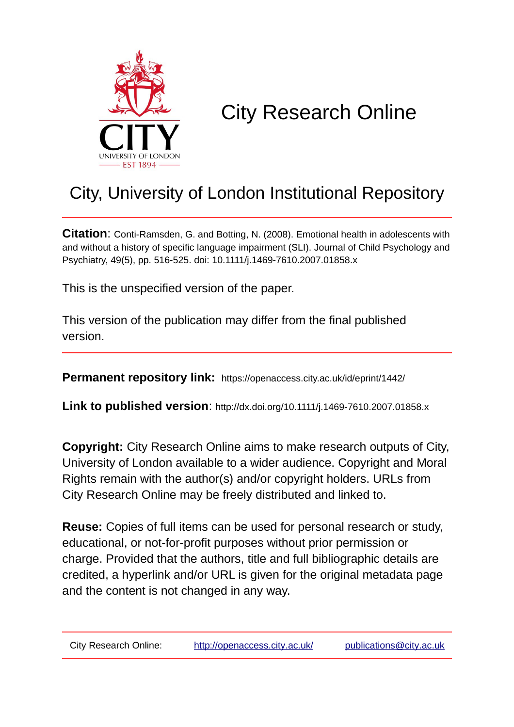

# City Research Online

# City, University of London Institutional Repository

**Citation**: Conti-Ramsden, G. and Botting, N. (2008). Emotional health in adolescents with and without a history of specific language impairment (SLI). Journal of Child Psychology and Psychiatry, 49(5), pp. 516-525. doi: 10.1111/j.1469-7610.2007.01858.x

This is the unspecified version of the paper.

This version of the publication may differ from the final published version.

**Permanent repository link:** https://openaccess.city.ac.uk/id/eprint/1442/

**Link to published version**: http://dx.doi.org/10.1111/j.1469-7610.2007.01858.x

**Copyright:** City Research Online aims to make research outputs of City, University of London available to a wider audience. Copyright and Moral Rights remain with the author(s) and/or copyright holders. URLs from City Research Online may be freely distributed and linked to.

**Reuse:** Copies of full items can be used for personal research or study, educational, or not-for-profit purposes without prior permission or charge. Provided that the authors, title and full bibliographic details are credited, a hyperlink and/or URL is given for the original metadata page and the content is not changed in any way.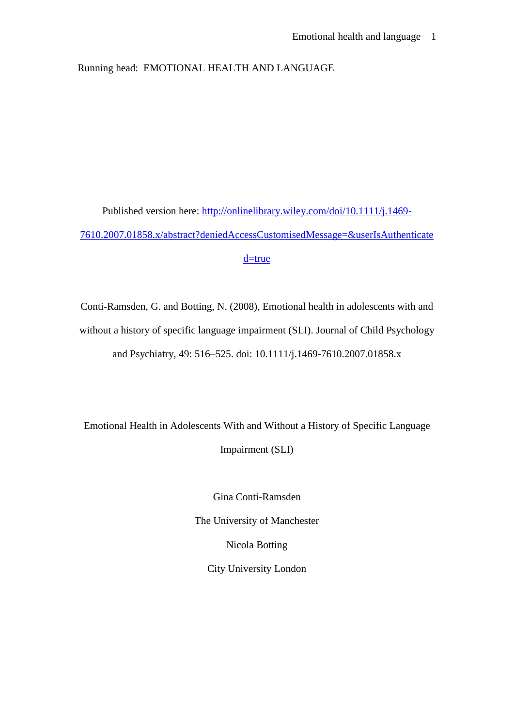Running head: EMOTIONAL HEALTH AND LANGUAGE

Published version here: [http://onlinelibrary.wiley.com/doi/10.1111/j.1469-](http://onlinelibrary.wiley.com/doi/10.1111/j.1469-7610.2007.01858.x/abstract?deniedAccessCustomisedMessage=&userIsAuthenticated=true) [7610.2007.01858.x/abstract?deniedAccessCustomisedMessage=&userIsAuthenticate](http://onlinelibrary.wiley.com/doi/10.1111/j.1469-7610.2007.01858.x/abstract?deniedAccessCustomisedMessage=&userIsAuthenticated=true) [d=true](http://onlinelibrary.wiley.com/doi/10.1111/j.1469-7610.2007.01858.x/abstract?deniedAccessCustomisedMessage=&userIsAuthenticated=true)

Conti-Ramsden, G. and Botting, N. (2008), Emotional health in adolescents with and without a history of specific language impairment (SLI). Journal of Child Psychology and Psychiatry, 49: 516–525. doi: 10.1111/j.1469-7610.2007.01858.x

Emotional Health in Adolescents With and Without a History of Specific Language Impairment (SLI)

> Gina Conti-Ramsden The University of Manchester Nicola Botting City University London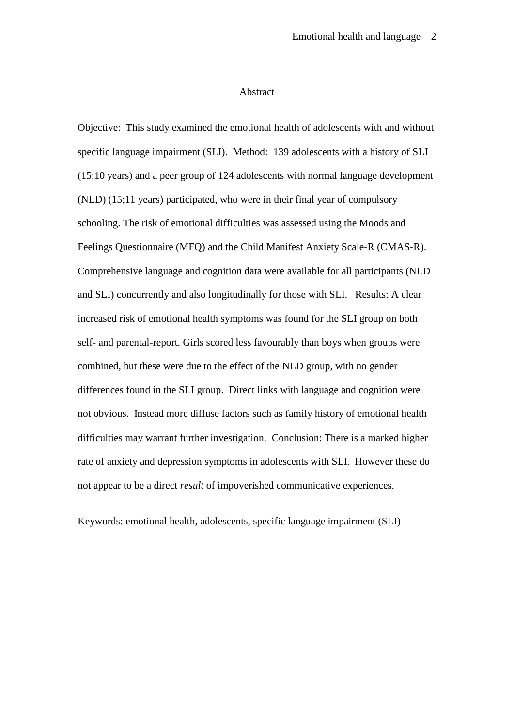#### Abstract

Objective: This study examined the emotional health of adolescents with and without specific language impairment (SLI). Method: 139 adolescents with a history of SLI (15;10 years) and a peer group of 124 adolescents with normal language development (NLD) (15;11 years) participated, who were in their final year of compulsory schooling. The risk of emotional difficulties was assessed using the Moods and Feelings Questionnaire (MFQ) and the Child Manifest Anxiety Scale-R (CMAS-R). Comprehensive language and cognition data were available for all participants (NLD and SLI) concurrently and also longitudinally for those with SLI. Results: A clear increased risk of emotional health symptoms was found for the SLI group on both self- and parental-report. Girls scored less favourably than boys when groups were combined, but these were due to the effect of the NLD group, with no gender differences found in the SLI group. Direct links with language and cognition were not obvious. Instead more diffuse factors such as family history of emotional health difficulties may warrant further investigation. Conclusion: There is a marked higher rate of anxiety and depression symptoms in adolescents with SLI. However these do not appear to be a direct *result* of impoverished communicative experiences.

Keywords: emotional health, adolescents, specific language impairment (SLI)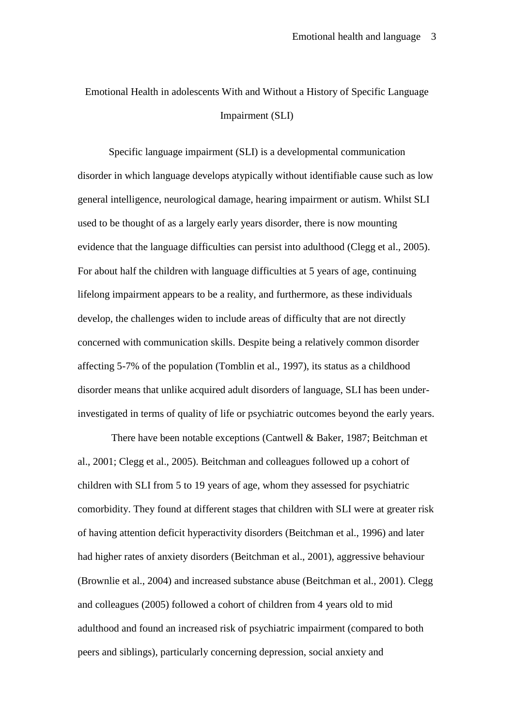# Emotional Health in adolescents With and Without a History of Specific Language Impairment (SLI)

Specific language impairment (SLI) is a developmental communication disorder in which language develops atypically without identifiable cause such as low general intelligence, neurological damage, hearing impairment or autism. Whilst SLI used to be thought of as a largely early years disorder, there is now mounting evidence that the language difficulties can persist into adulthood (Clegg et al., 2005). For about half the children with language difficulties at 5 years of age, continuing lifelong impairment appears to be a reality, and furthermore, as these individuals develop, the challenges widen to include areas of difficulty that are not directly concerned with communication skills. Despite being a relatively common disorder affecting 5-7% of the population (Tomblin et al., 1997), its status as a childhood disorder means that unlike acquired adult disorders of language, SLI has been underinvestigated in terms of quality of life or psychiatric outcomes beyond the early years.

There have been notable exceptions (Cantwell & Baker, 1987; Beitchman et al., 2001; Clegg et al., 2005). Beitchman and colleagues followed up a cohort of children with SLI from 5 to 19 years of age, whom they assessed for psychiatric comorbidity. They found at different stages that children with SLI were at greater risk of having attention deficit hyperactivity disorders (Beitchman et al., 1996) and later had higher rates of anxiety disorders (Beitchman et al., 2001), aggressive behaviour (Brownlie et al., 2004) and increased substance abuse (Beitchman et al., 2001). Clegg and colleagues (2005) followed a cohort of children from 4 years old to mid adulthood and found an increased risk of psychiatric impairment (compared to both peers and siblings), particularly concerning depression, social anxiety and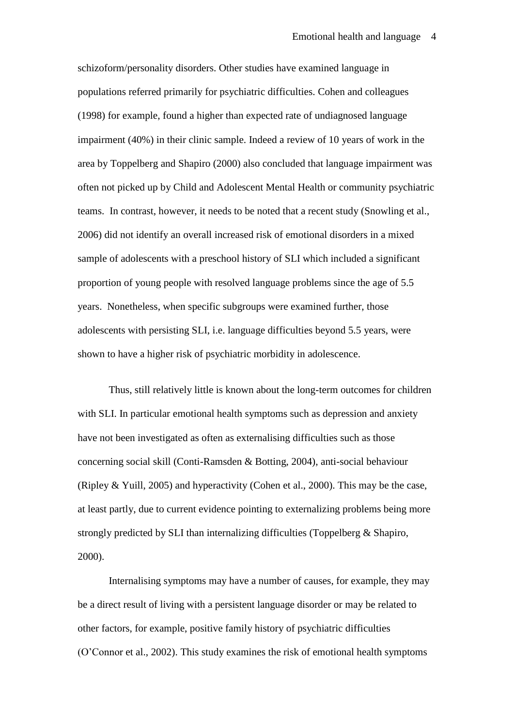schizoform/personality disorders. Other studies have examined language in populations referred primarily for psychiatric difficulties. Cohen and colleagues (1998) for example, found a higher than expected rate of undiagnosed language impairment (40%) in their clinic sample. Indeed a review of 10 years of work in the area by Toppelberg and Shapiro (2000) also concluded that language impairment was often not picked up by Child and Adolescent Mental Health or community psychiatric teams. In contrast, however, it needs to be noted that a recent study (Snowling et al., 2006) did not identify an overall increased risk of emotional disorders in a mixed sample of adolescents with a preschool history of SLI which included a significant proportion of young people with resolved language problems since the age of 5.5 years. Nonetheless, when specific subgroups were examined further, those adolescents with persisting SLI, i.e. language difficulties beyond 5.5 years, were shown to have a higher risk of psychiatric morbidity in adolescence.

Thus, still relatively little is known about the long-term outcomes for children with SLI. In particular emotional health symptoms such as depression and anxiety have not been investigated as often as externalising difficulties such as those concerning social skill (Conti-Ramsden & Botting, 2004), anti-social behaviour (Ripley & Yuill, 2005) and hyperactivity (Cohen et al., 2000). This may be the case, at least partly, due to current evidence pointing to externalizing problems being more strongly predicted by SLI than internalizing difficulties (Toppelberg & Shapiro, 2000).

Internalising symptoms may have a number of causes, for example, they may be a direct result of living with a persistent language disorder or may be related to other factors, for example, positive family history of psychiatric difficulties (O'Connor et al., 2002). This study examines the risk of emotional health symptoms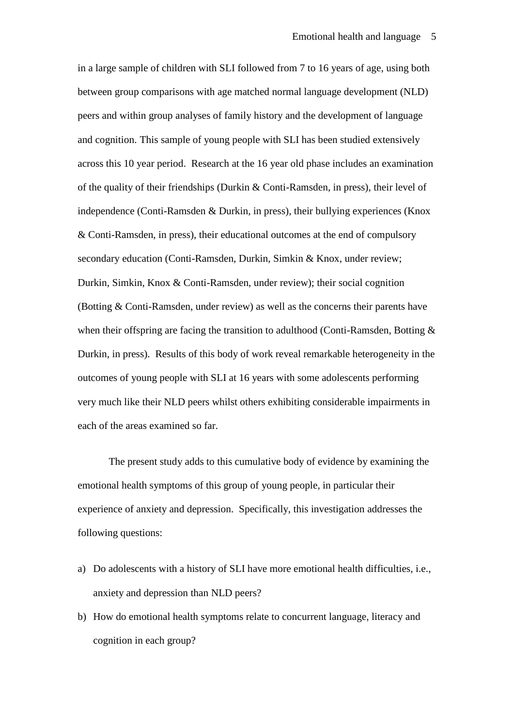in a large sample of children with SLI followed from 7 to 16 years of age, using both between group comparisons with age matched normal language development (NLD) peers and within group analyses of family history and the development of language and cognition. This sample of young people with SLI has been studied extensively across this 10 year period. Research at the 16 year old phase includes an examination of the quality of their friendships (Durkin & Conti-Ramsden, in press), their level of independence (Conti-Ramsden & Durkin, in press), their bullying experiences (Knox & Conti-Ramsden, in press), their educational outcomes at the end of compulsory secondary education (Conti-Ramsden, Durkin, Simkin & Knox, under review; Durkin, Simkin, Knox & Conti-Ramsden, under review); their social cognition (Botting & Conti-Ramsden, under review) as well as the concerns their parents have when their offspring are facing the transition to adulthood (Conti-Ramsden, Botting & Durkin, in press). Results of this body of work reveal remarkable heterogeneity in the outcomes of young people with SLI at 16 years with some adolescents performing very much like their NLD peers whilst others exhibiting considerable impairments in each of the areas examined so far.

The present study adds to this cumulative body of evidence by examining the emotional health symptoms of this group of young people, in particular their experience of anxiety and depression. Specifically, this investigation addresses the following questions:

- a) Do adolescents with a history of SLI have more emotional health difficulties, i.e., anxiety and depression than NLD peers?
- b) How do emotional health symptoms relate to concurrent language, literacy and cognition in each group?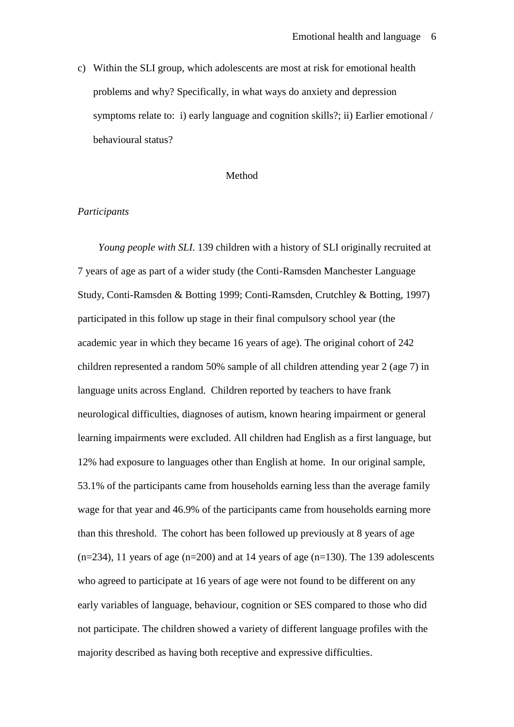c) Within the SLI group, which adolescents are most at risk for emotional health problems and why? Specifically, in what ways do anxiety and depression symptoms relate to: i) early language and cognition skills?; ii) Earlier emotional / behavioural status?

### Method

### *Participants*

 *Young people with SLI.* 139 children with a history of SLI originally recruited at 7 years of age as part of a wider study (the Conti-Ramsden Manchester Language Study, Conti-Ramsden & Botting 1999; Conti-Ramsden, Crutchley & Botting, 1997) participated in this follow up stage in their final compulsory school year (the academic year in which they became 16 years of age). The original cohort of 242 children represented a random 50% sample of all children attending year 2 (age 7) in language units across England. Children reported by teachers to have frank neurological difficulties, diagnoses of autism, known hearing impairment or general learning impairments were excluded. All children had English as a first language, but 12% had exposure to languages other than English at home. In our original sample, 53.1% of the participants came from households earning less than the average family wage for that year and 46.9% of the participants came from households earning more than this threshold. The cohort has been followed up previously at 8 years of age  $(n=234)$ , 11 years of age  $(n=200)$  and at 14 years of age  $(n=130)$ . The 139 adolescents who agreed to participate at 16 years of age were not found to be different on any early variables of language, behaviour, cognition or SES compared to those who did not participate. The children showed a variety of different language profiles with the majority described as having both receptive and expressive difficulties.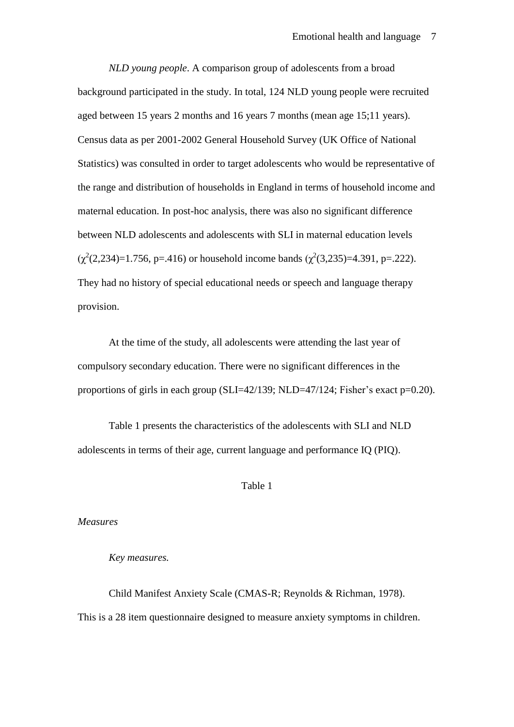*NLD young people*. A comparison group of adolescents from a broad background participated in the study. In total, 124 NLD young people were recruited aged between 15 years 2 months and 16 years 7 months (mean age 15;11 years). Census data as per 2001-2002 General Household Survey (UK Office of National Statistics) was consulted in order to target adolescents who would be representative of the range and distribution of households in England in terms of household income and maternal education. In post-hoc analysis, there was also no significant difference between NLD adolescents and adolescents with SLI in maternal education levels  $(\chi^2(2, 234)=1.756$ , p=.416) or household income bands  $(\chi^2(3, 235)=4.391$ , p=.222). They had no history of special educational needs or speech and language therapy provision.

At the time of the study, all adolescents were attending the last year of compulsory secondary education. There were no significant differences in the proportions of girls in each group (SLI=42/139; NLD=47/124; Fisher's exact p=0.20).

Table 1 presents the characteristics of the adolescents with SLI and NLD adolescents in terms of their age, current language and performance IQ (PIQ).

### Table 1

*Measures* 

### *Key measures.*

Child Manifest Anxiety Scale (CMAS-R; Reynolds & Richman, 1978). This is a 28 item questionnaire designed to measure anxiety symptoms in children.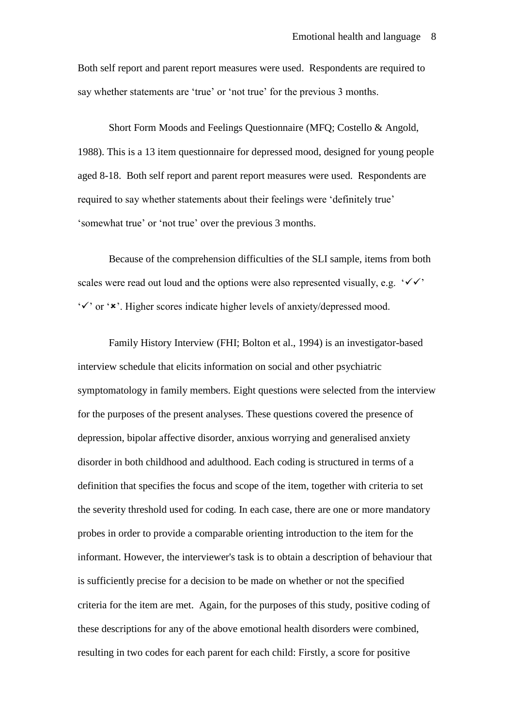Both self report and parent report measures were used. Respondents are required to say whether statements are 'true' or 'not true' for the previous 3 months.

Short Form Moods and Feelings Questionnaire (MFQ; Costello & Angold, 1988). This is a 13 item questionnaire for depressed mood, designed for young people aged 8-18. Both self report and parent report measures were used. Respondents are required to say whether statements about their feelings were 'definitely true' 'somewhat true' or 'not true' over the previous 3 months.

Because of the comprehension difficulties of the SLI sample, items from both scales were read out loud and the options were also represented visually, e.g. ' $\checkmark\checkmark$ '  $\check{\mathsf{y}}$  or  $\check{\mathsf{x}}$ . Higher scores indicate higher levels of anxiety/depressed mood.

Family History Interview (FHI; Bolton et al., 1994) is an investigator-based interview schedule that elicits information on social and other psychiatric symptomatology in family members. Eight questions were selected from the interview for the purposes of the present analyses. These questions covered the presence of depression, bipolar affective disorder, anxious worrying and generalised anxiety disorder in both childhood and adulthood. Each coding is structured in terms of a definition that specifies the focus and scope of the item, together with criteria to set the severity threshold used for coding. In each case, there are one or more mandatory probes in order to provide a comparable orienting introduction to the item for the informant. However, the interviewer's task is to obtain a description of behaviour that is sufficiently precise for a decision to be made on whether or not the specified criteria for the item are met. Again, for the purposes of this study, positive coding of these descriptions for any of the above emotional health disorders were combined, resulting in two codes for each parent for each child: Firstly, a score for positive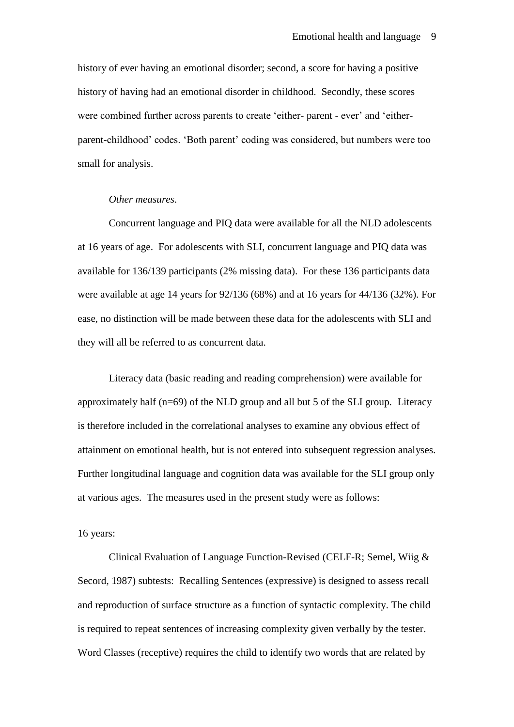history of ever having an emotional disorder; second, a score for having a positive history of having had an emotional disorder in childhood. Secondly, these scores were combined further across parents to create 'either- parent - ever' and 'eitherparent-childhood' codes. 'Both parent' coding was considered, but numbers were too small for analysis.

### *Other measures.*

Concurrent language and PIQ data were available for all the NLD adolescents at 16 years of age. For adolescents with SLI, concurrent language and PIQ data was available for 136/139 participants (2% missing data). For these 136 participants data were available at age 14 years for 92/136 (68%) and at 16 years for 44/136 (32%). For ease, no distinction will be made between these data for the adolescents with SLI and they will all be referred to as concurrent data.

Literacy data (basic reading and reading comprehension) were available for approximately half (n=69) of the NLD group and all but 5 of the SLI group. Literacy is therefore included in the correlational analyses to examine any obvious effect of attainment on emotional health, but is not entered into subsequent regression analyses. Further longitudinal language and cognition data was available for the SLI group only at various ages. The measures used in the present study were as follows:

### 16 years:

Clinical Evaluation of Language Function-Revised (CELF-R; Semel, Wiig & Secord, 1987) subtests:Recalling Sentences (expressive) is designed to assess recall and reproduction of surface structure as a function of syntactic complexity. The child is required to repeat sentences of increasing complexity given verbally by the tester. Word Classes (receptive) requires the child to identify two words that are related by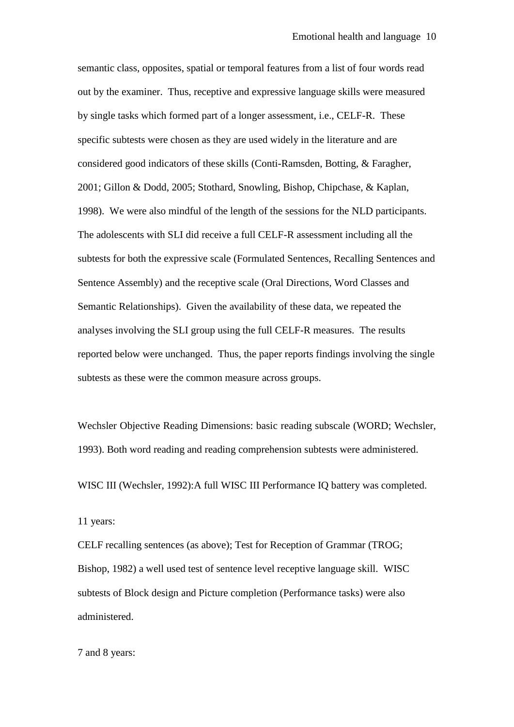semantic class, opposites, spatial or temporal features from a list of four words read out by the examiner. Thus, receptive and expressive language skills were measured by single tasks which formed part of a longer assessment, i.e., CELF-R. These specific subtests were chosen as they are used widely in the literature and are considered good indicators of these skills (Conti-Ramsden, Botting, & Faragher, 2001; Gillon & Dodd, 2005; Stothard, Snowling, Bishop, Chipchase, & Kaplan, 1998). We were also mindful of the length of the sessions for the NLD participants. The adolescents with SLI did receive a full CELF-R assessment including all the subtests for both the expressive scale (Formulated Sentences, Recalling Sentences and Sentence Assembly) and the receptive scale (Oral Directions, Word Classes and Semantic Relationships). Given the availability of these data, we repeated the analyses involving the SLI group using the full CELF-R measures. The results reported below were unchanged. Thus, the paper reports findings involving the single subtests as these were the common measure across groups.

Wechsler Objective Reading Dimensions: basic reading subscale (WORD; Wechsler, 1993). Both word reading and reading comprehension subtests were administered.

WISC III (Wechsler, 1992):A full WISC III Performance IQ battery was completed.

11 years:

CELF recalling sentences (as above); Test for Reception of Grammar (TROG; Bishop, 1982) a well used test of sentence level receptive language skill. WISC subtests of Block design and Picture completion (Performance tasks) were also administered.

7 and 8 years: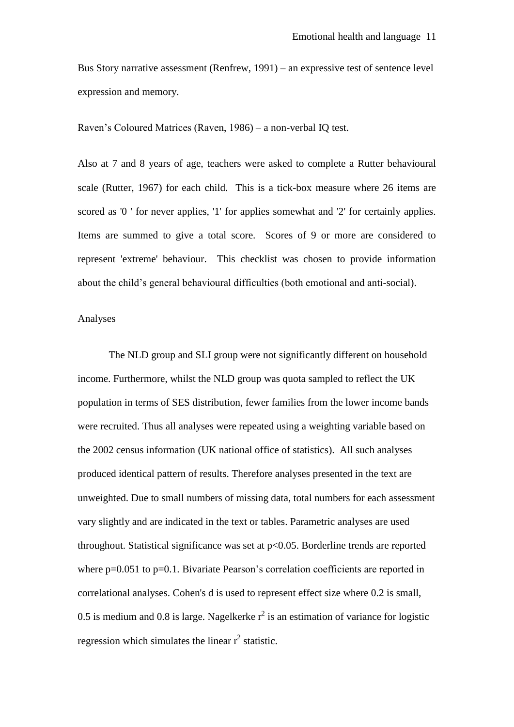Bus Story narrative assessment (Renfrew, 1991) – an expressive test of sentence level expression and memory.

Raven's Coloured Matrices (Raven, 1986) – a non-verbal IQ test.

Also at 7 and 8 years of age, teachers were asked to complete a Rutter behavioural scale (Rutter, 1967) for each child. This is a tick-box measure where 26 items are scored as '0 ' for never applies, '1' for applies somewhat and '2' for certainly applies. Items are summed to give a total score. Scores of 9 or more are considered to represent 'extreme' behaviour. This checklist was chosen to provide information about the child's general behavioural difficulties (both emotional and anti-social).

### Analyses

The NLD group and SLI group were not significantly different on household income. Furthermore, whilst the NLD group was quota sampled to reflect the UK population in terms of SES distribution, fewer families from the lower income bands were recruited. Thus all analyses were repeated using a weighting variable based on the 2002 census information (UK national office of statistics). All such analyses produced identical pattern of results. Therefore analyses presented in the text are unweighted. Due to small numbers of missing data, total numbers for each assessment vary slightly and are indicated in the text or tables. Parametric analyses are used throughout. Statistical significance was set at p<0.05. Borderline trends are reported where  $p=0.051$  to  $p=0.1$ . Bivariate Pearson's correlation coefficients are reported in correlational analyses. Cohen's d is used to represent effect size where 0.2 is small, 0.5 is medium and 0.8 is large. Nagelkerke  $r^2$  is an estimation of variance for logistic regression which simulates the linear  $r^2$  statistic.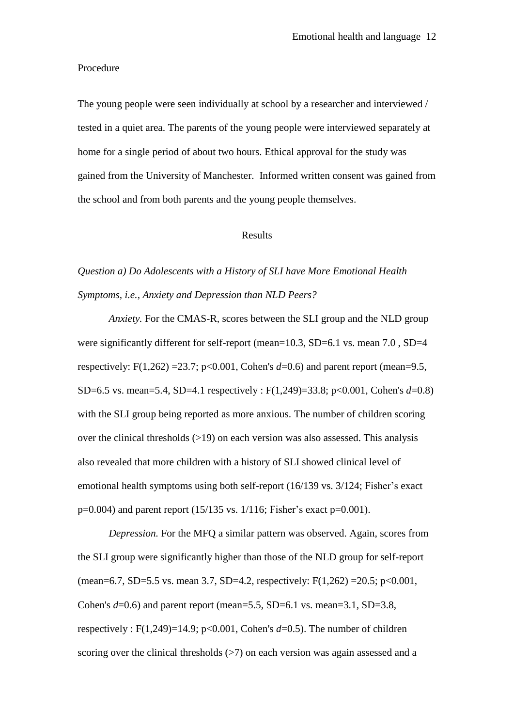#### Procedure

The young people were seen individually at school by a researcher and interviewed / tested in a quiet area. The parents of the young people were interviewed separately at home for a single period of about two hours. Ethical approval for the study was gained from the University of Manchester. Informed written consent was gained from the school and from both parents and the young people themselves.

### Results

## *Question a) Do Adolescents with a History of SLI have More Emotional Health Symptoms, i.e., Anxiety and Depression than NLD Peers?*

*Anxiety.* For the CMAS-R, scores between the SLI group and the NLD group were significantly different for self-report (mean=10.3, SD=6.1 vs. mean 7.0, SD=4 respectively: F(1,262) =23.7; p<0.001, Cohen's  $d=0.6$ ) and parent report (mean=9.5, SD=6.5 vs. mean=5.4, SD=4.1 respectively : F(1,249)=33.8; p<0.001, Cohen's *d*=0.8) with the SLI group being reported as more anxious. The number of children scoring over the clinical thresholds  $(>19)$  on each version was also assessed. This analysis also revealed that more children with a history of SLI showed clinical level of emotional health symptoms using both self-report (16/139 vs. 3/124; Fisher's exact  $p=0.004$ ) and parent report (15/135 vs. 1/116; Fisher's exact  $p=0.001$ ).

*Depression.* For the MFQ a similar pattern was observed. Again, scores from the SLI group were significantly higher than those of the NLD group for self-report (mean=6.7, SD=5.5 vs. mean 3.7, SD=4.2, respectively: F(1,262) =20.5; p<0.001, Cohen's  $d=0.6$ ) and parent report (mean=5.5, SD=6.1 vs. mean=3.1, SD=3.8, respectively : F(1,249)=14.9; p<0.001, Cohen's  $d=0.5$ ). The number of children scoring over the clinical thresholds  $(>7)$  on each version was again assessed and a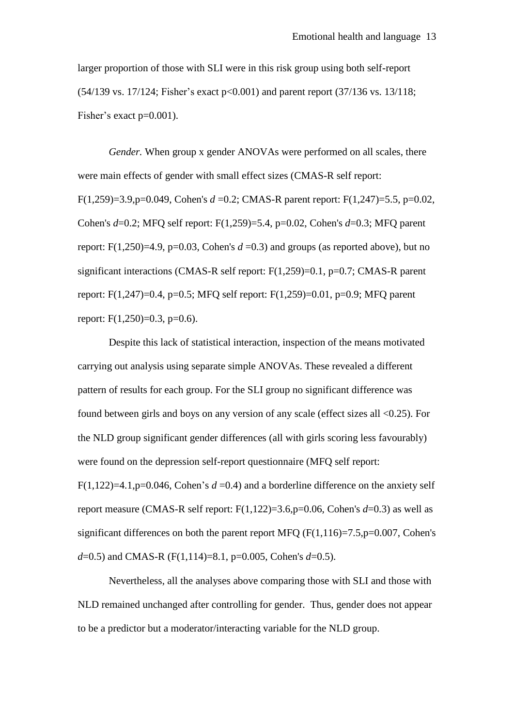larger proportion of those with SLI were in this risk group using both self-report (54/139 vs. 17/124; Fisher's exact p<0.001) and parent report (37/136 vs. 13/118; Fisher's exact p=0.001).

*Gender.* When group x gender ANOVAs were performed on all scales, there were main effects of gender with small effect sizes (CMAS-R self report: F(1,259)=3.9,p=0.049, Cohen's *d* =0.2; CMAS-R parent report: F(1,247)=5.5, p=0.02, Cohen's *d*=0.2; MFQ self report: F(1,259)=5.4, p=0.02, Cohen's *d*=0.3; MFQ parent report: F(1,250)=4.9, p=0.03, Cohen's  $d = 0.3$ ) and groups (as reported above), but no significant interactions (CMAS-R self report: F(1,259)=0.1, p=0.7; CMAS-R parent report: F(1,247)=0.4, p=0.5; MFQ self report: F(1,259)=0.01, p=0.9; MFQ parent report:  $F(1,250)=0.3$ ,  $p=0.6$ ).

Despite this lack of statistical interaction, inspection of the means motivated carrying out analysis using separate simple ANOVAs. These revealed a different pattern of results for each group. For the SLI group no significant difference was found between girls and boys on any version of any scale (effect sizes all <0.25). For the NLD group significant gender differences (all with girls scoring less favourably) were found on the depression self-report questionnaire (MFQ self report: F(1,122)=4.1,p=0.046, Cohen's  $d = 0.4$ ) and a borderline difference on the anxiety self report measure (CMAS-R self report: F(1,122)=3.6,p=0.06, Cohen's *d*=0.3) as well as significant differences on both the parent report MFQ  $(F(1,116)=7.5,p=0.007,$  Cohen's *d*=0.5) and CMAS-R (F(1,114)=8.1, p=0.005, Cohen's *d*=0.5).

Nevertheless, all the analyses above comparing those with SLI and those with NLD remained unchanged after controlling for gender. Thus, gender does not appear to be a predictor but a moderator/interacting variable for the NLD group.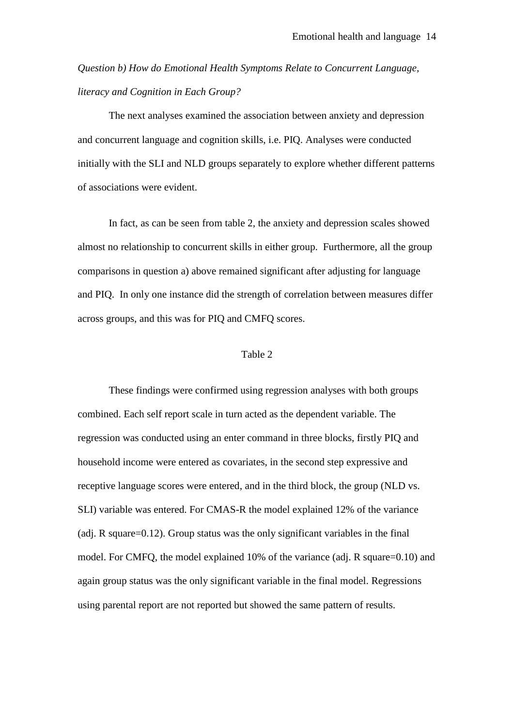*Question b) How do Emotional Health Symptoms Relate to Concurrent Language, literacy and Cognition in Each Group?* 

The next analyses examined the association between anxiety and depression and concurrent language and cognition skills, i.e. PIQ. Analyses were conducted initially with the SLI and NLD groups separately to explore whether different patterns of associations were evident.

In fact, as can be seen from table 2, the anxiety and depression scales showed almost no relationship to concurrent skills in either group. Furthermore, all the group comparisons in question a) above remained significant after adjusting for language and PIQ. In only one instance did the strength of correlation between measures differ across groups, and this was for PIQ and CMFQ scores.

### Table 2

These findings were confirmed using regression analyses with both groups combined. Each self report scale in turn acted as the dependent variable. The regression was conducted using an enter command in three blocks, firstly PIQ and household income were entered as covariates, in the second step expressive and receptive language scores were entered, and in the third block, the group (NLD vs. SLI) variable was entered. For CMAS-R the model explained 12% of the variance (adj. R square=0.12). Group status was the only significant variables in the final model. For CMFQ, the model explained 10% of the variance (adj. R square=0.10) and again group status was the only significant variable in the final model. Regressions using parental report are not reported but showed the same pattern of results.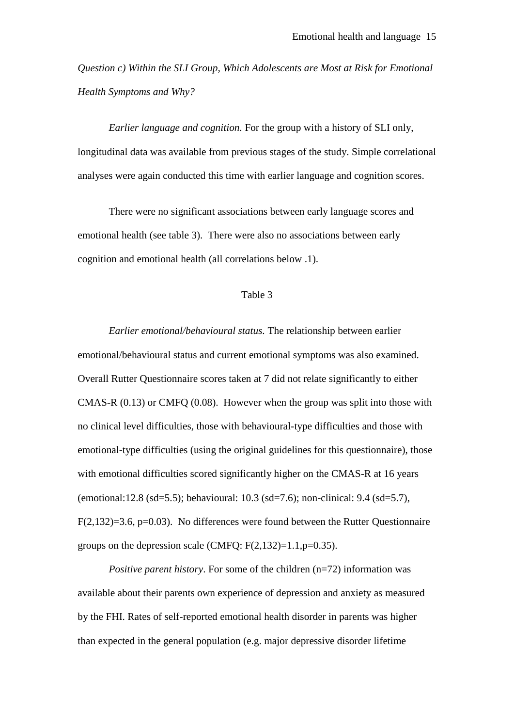*Question c) Within the SLI Group, Which Adolescents are Most at Risk for Emotional Health Symptoms and Why?*

*Earlier language and cognition.* For the group with a history of SLI only, longitudinal data was available from previous stages of the study. Simple correlational analyses were again conducted this time with earlier language and cognition scores.

There were no significant associations between early language scores and emotional health (see table 3). There were also no associations between early cognition and emotional health (all correlations below .1).

### Table 3

*Earlier emotional/behavioural status.* The relationship between earlier emotional/behavioural status and current emotional symptoms was also examined. Overall Rutter Questionnaire scores taken at 7 did not relate significantly to either CMAS-R (0.13) or CMFQ (0.08). However when the group was split into those with no clinical level difficulties, those with behavioural-type difficulties and those with emotional-type difficulties (using the original guidelines for this questionnaire), those with emotional difficulties scored significantly higher on the CMAS-R at 16 years (emotional:12.8 (sd=5.5); behavioural: 10.3 (sd=7.6); non-clinical: 9.4 (sd=5.7),  $F(2,132)=3.6$ ,  $p=0.03$ ). No differences were found between the Rutter Questionnaire groups on the depression scale (CMFO:  $F(2,132)=1.1$ ,  $p=0.35$ ).

*Positive parent history*. For some of the children (n=72) information was available about their parents own experience of depression and anxiety as measured by the FHI. Rates of self-reported emotional health disorder in parents was higher than expected in the general population (e.g. major depressive disorder lifetime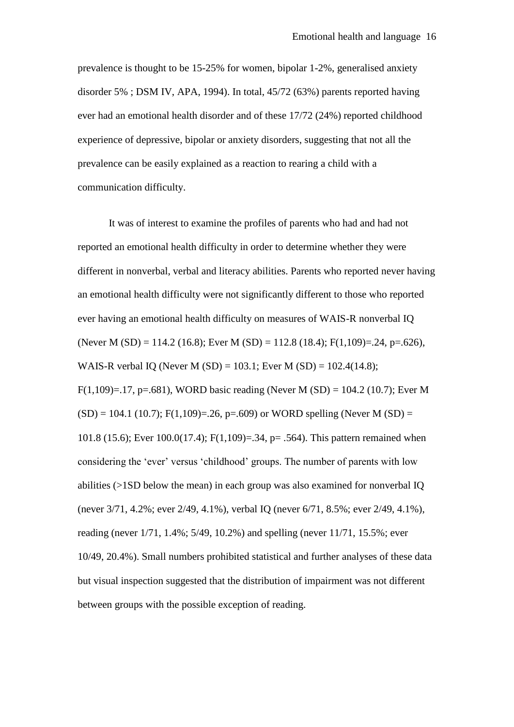prevalence is thought to be 15-25% for women, bipolar 1-2%, generalised anxiety disorder 5% ; DSM IV, APA, 1994). In total, 45/72 (63%) parents reported having ever had an emotional health disorder and of these 17/72 (24%) reported childhood experience of depressive, bipolar or anxiety disorders, suggesting that not all the prevalence can be easily explained as a reaction to rearing a child with a communication difficulty.

It was of interest to examine the profiles of parents who had and had not reported an emotional health difficulty in order to determine whether they were different in nonverbal, verbal and literacy abilities. Parents who reported never having an emotional health difficulty were not significantly different to those who reported ever having an emotional health difficulty on measures of WAIS-R nonverbal IQ (Never M (SD) = 114.2 (16.8); Ever M (SD) = 112.8 (18.4); F(1,109)=.24, p=.626), WAIS-R verbal IQ (Never M (SD) = 103.1; Ever M (SD) = 102.4(14.8); F(1,109)=.17, p=.681), WORD basic reading (Never M (SD) = 104.2 (10.7); Ever M  $(SD) = 104.1$  (10.7); F(1,109)=.26, p=.609) or WORD spelling (Never M (SD) = 101.8 (15.6); Ever 100.0(17.4); F(1,109)=.34, p= .564). This pattern remained when considering the 'ever' versus 'childhood' groups. The number of parents with low abilities (>1SD below the mean) in each group was also examined for nonverbal IQ (never 3/71, 4.2%; ever 2/49, 4.1%), verbal IQ (never 6/71, 8.5%; ever 2/49, 4.1%), reading (never 1/71, 1.4%; 5/49, 10.2%) and spelling (never 11/71, 15.5%; ever 10/49, 20.4%). Small numbers prohibited statistical and further analyses of these data but visual inspection suggested that the distribution of impairment was not different between groups with the possible exception of reading.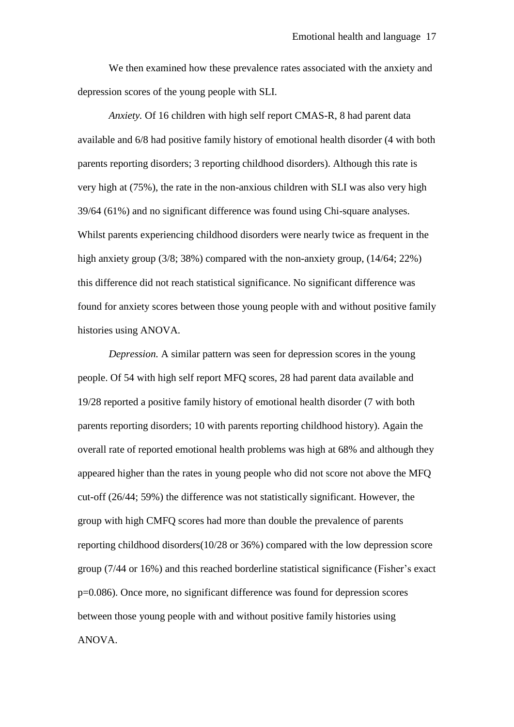We then examined how these prevalence rates associated with the anxiety and depression scores of the young people with SLI.

*Anxiety.* Of 16 children with high self report CMAS-R, 8 had parent data available and 6/8 had positive family history of emotional health disorder (4 with both parents reporting disorders; 3 reporting childhood disorders). Although this rate is very high at (75%), the rate in the non-anxious children with SLI was also very high 39/64 (61%) and no significant difference was found using Chi-square analyses. Whilst parents experiencing childhood disorders were nearly twice as frequent in the high anxiety group (3/8; 38%) compared with the non-anxiety group, (14/64; 22%) this difference did not reach statistical significance. No significant difference was found for anxiety scores between those young people with and without positive family histories using ANOVA.

*Depression.* A similar pattern was seen for depression scores in the young people. Of 54 with high self report MFQ scores, 28 had parent data available and 19/28 reported a positive family history of emotional health disorder (7 with both parents reporting disorders; 10 with parents reporting childhood history). Again the overall rate of reported emotional health problems was high at 68% and although they appeared higher than the rates in young people who did not score not above the MFQ cut-off (26/44; 59%) the difference was not statistically significant. However, the group with high CMFQ scores had more than double the prevalence of parents reporting childhood disorders(10/28 or 36%) compared with the low depression score group (7/44 or 16%) and this reached borderline statistical significance (Fisher's exact p=0.086). Once more, no significant difference was found for depression scores between those young people with and without positive family histories using ANOVA.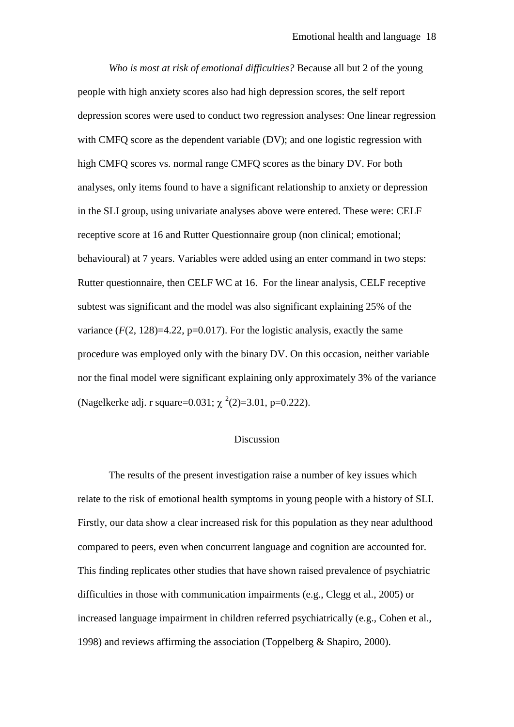*Who is most at risk of emotional difficulties?* Because all but 2 of the young people with high anxiety scores also had high depression scores, the self report depression scores were used to conduct two regression analyses: One linear regression with CMFO score as the dependent variable (DV); and one logistic regression with high CMFQ scores vs. normal range CMFQ scores as the binary DV. For both analyses, only items found to have a significant relationship to anxiety or depression in the SLI group, using univariate analyses above were entered. These were: CELF receptive score at 16 and Rutter Questionnaire group (non clinical; emotional; behavioural) at 7 years. Variables were added using an enter command in two steps: Rutter questionnaire, then CELF WC at 16. For the linear analysis, CELF receptive subtest was significant and the model was also significant explaining 25% of the variance  $(F(2, 128)=4.22$ ,  $p=0.017$ ). For the logistic analysis, exactly the same procedure was employed only with the binary DV. On this occasion, neither variable nor the final model were significant explaining only approximately 3% of the variance (Nagelkerke adj. r square=0.031;  $\chi^2(2)=3.01$ , p=0.222).

### Discussion

The results of the present investigation raise a number of key issues which relate to the risk of emotional health symptoms in young people with a history of SLI. Firstly, our data show a clear increased risk for this population as they near adulthood compared to peers, even when concurrent language and cognition are accounted for. This finding replicates other studies that have shown raised prevalence of psychiatric difficulties in those with communication impairments (e.g., Clegg et al., 2005) or increased language impairment in children referred psychiatrically (e.g., Cohen et al., 1998) and reviews affirming the association (Toppelberg & Shapiro, 2000).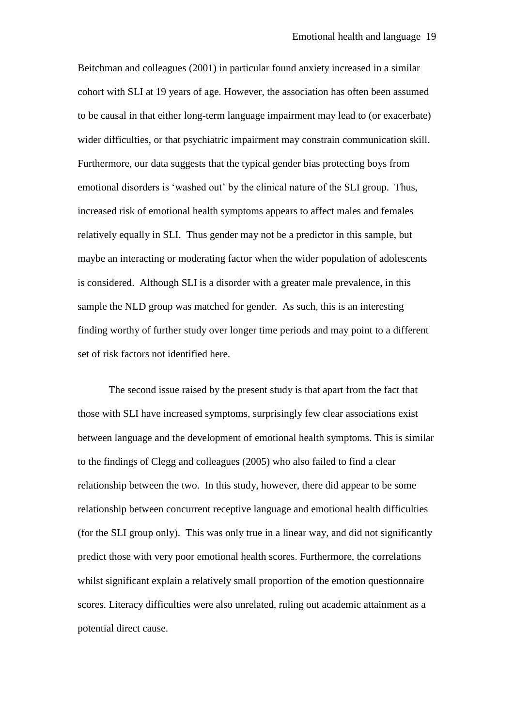Beitchman and colleagues (2001) in particular found anxiety increased in a similar cohort with SLI at 19 years of age. However, the association has often been assumed to be causal in that either long-term language impairment may lead to (or exacerbate) wider difficulties, or that psychiatric impairment may constrain communication skill. Furthermore, our data suggests that the typical gender bias protecting boys from emotional disorders is 'washed out' by the clinical nature of the SLI group. Thus, increased risk of emotional health symptoms appears to affect males and females relatively equally in SLI. Thus gender may not be a predictor in this sample, but maybe an interacting or moderating factor when the wider population of adolescents is considered. Although SLI is a disorder with a greater male prevalence, in this sample the NLD group was matched for gender. As such, this is an interesting finding worthy of further study over longer time periods and may point to a different set of risk factors not identified here.

The second issue raised by the present study is that apart from the fact that those with SLI have increased symptoms, surprisingly few clear associations exist between language and the development of emotional health symptoms. This is similar to the findings of Clegg and colleagues (2005) who also failed to find a clear relationship between the two. In this study, however, there did appear to be some relationship between concurrent receptive language and emotional health difficulties (for the SLI group only). This was only true in a linear way, and did not significantly predict those with very poor emotional health scores. Furthermore, the correlations whilst significant explain a relatively small proportion of the emotion questionnaire scores. Literacy difficulties were also unrelated, ruling out academic attainment as a potential direct cause.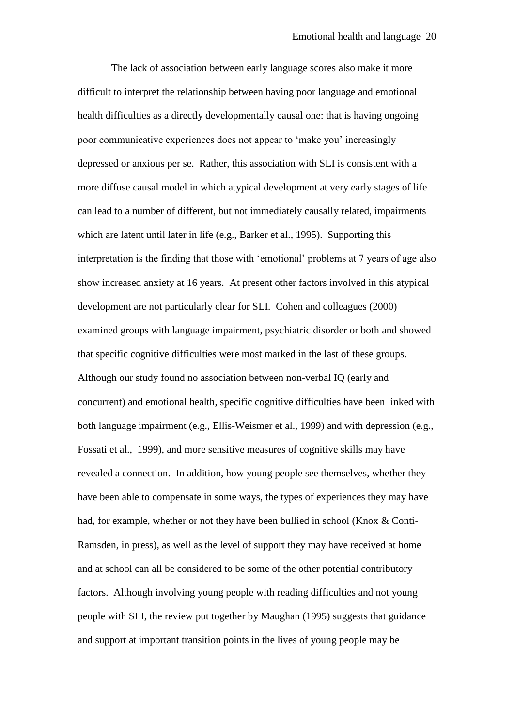The lack of association between early language scores also make it more difficult to interpret the relationship between having poor language and emotional health difficulties as a directly developmentally causal one: that is having ongoing poor communicative experiences does not appear to 'make you' increasingly depressed or anxious per se. Rather, this association with SLI is consistent with a more diffuse causal model in which atypical development at very early stages of life can lead to a number of different, but not immediately causally related, impairments which are latent until later in life (e.g., Barker et al., 1995). Supporting this interpretation is the finding that those with 'emotional' problems at 7 years of age also show increased anxiety at 16 years. At present other factors involved in this atypical development are not particularly clear for SLI. Cohen and colleagues (2000) examined groups with language impairment, psychiatric disorder or both and showed that specific cognitive difficulties were most marked in the last of these groups. Although our study found no association between non-verbal IQ (early and concurrent) and emotional health, specific cognitive difficulties have been linked with both language impairment (e.g., Ellis-Weismer et al., 1999) and with depression (e.g., Fossati et al., 1999), and more sensitive measures of cognitive skills may have revealed a connection. In addition, how young people see themselves, whether they have been able to compensate in some ways, the types of experiences they may have had, for example, whether or not they have been bullied in school (Knox & Conti-Ramsden, in press), as well as the level of support they may have received at home and at school can all be considered to be some of the other potential contributory factors. Although involving young people with reading difficulties and not young people with SLI, the review put together by Maughan (1995) suggests that guidance and support at important transition points in the lives of young people may be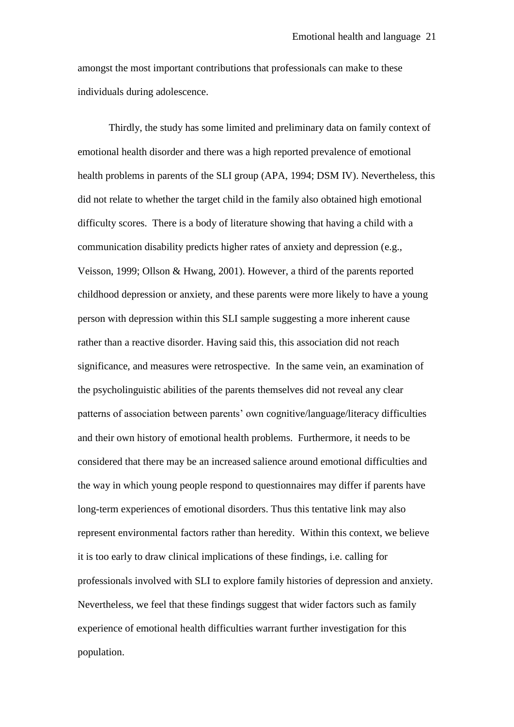amongst the most important contributions that professionals can make to these individuals during adolescence.

Thirdly, the study has some limited and preliminary data on family context of emotional health disorder and there was a high reported prevalence of emotional health problems in parents of the SLI group (APA, 1994; DSM IV). Nevertheless, this did not relate to whether the target child in the family also obtained high emotional difficulty scores. There is a body of literature showing that having a child with a communication disability predicts higher rates of anxiety and depression (e.g., Veisson, 1999; Ollson & Hwang, 2001). However, a third of the parents reported childhood depression or anxiety, and these parents were more likely to have a young person with depression within this SLI sample suggesting a more inherent cause rather than a reactive disorder. Having said this, this association did not reach significance, and measures were retrospective. In the same vein, an examination of the psycholinguistic abilities of the parents themselves did not reveal any clear patterns of association between parents' own cognitive/language/literacy difficulties and their own history of emotional health problems. Furthermore, it needs to be considered that there may be an increased salience around emotional difficulties and the way in which young people respond to questionnaires may differ if parents have long-term experiences of emotional disorders. Thus this tentative link may also represent environmental factors rather than heredity. Within this context, we believe it is too early to draw clinical implications of these findings, i.e. calling for professionals involved with SLI to explore family histories of depression and anxiety. Nevertheless, we feel that these findings suggest that wider factors such as family experience of emotional health difficulties warrant further investigation for this population.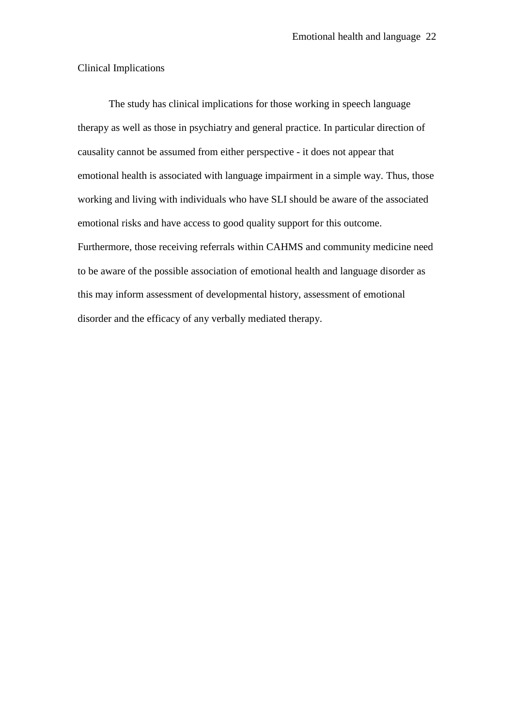### Clinical Implications

The study has clinical implications for those working in speech language therapy as well as those in psychiatry and general practice. In particular direction of causality cannot be assumed from either perspective - it does not appear that emotional health is associated with language impairment in a simple way. Thus, those working and living with individuals who have SLI should be aware of the associated emotional risks and have access to good quality support for this outcome. Furthermore, those receiving referrals within CAHMS and community medicine need to be aware of the possible association of emotional health and language disorder as this may inform assessment of developmental history, assessment of emotional disorder and the efficacy of any verbally mediated therapy.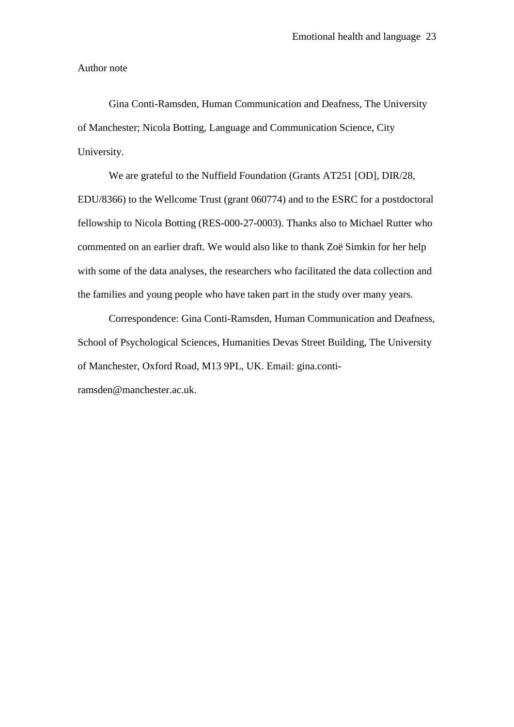Author note

Gina Conti-Ramsden, Human Communication and Deafness, The University of Manchester; Nicola Botting, Language and Communication Science, City University.

We are grateful to the Nuffield Foundation (Grants AT251 [OD], DIR/28, EDU/8366) to the Wellcome Trust (grant 060774) and to the ESRC for a postdoctoral fellowship to Nicola Botting (RES-000-27-0003). Thanks also to Michael Rutter who commented on an earlier draft. We would also like to thank Zoë Simkin for her help with some of the data analyses, the researchers who facilitated the data collection and the families and young people who have taken part in the study over many years.

Correspondence: Gina Conti-Ramsden, Human Communication and Deafness, School of Psychological Sciences, Humanities Devas Street Building, The University of Manchester, Oxford Road, M13 9PL, UK. Email: gina.contiramsden@manchester.ac.uk.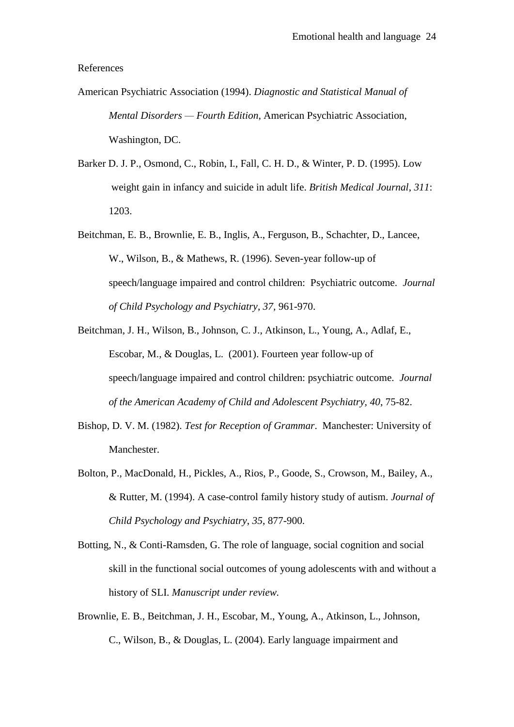#### References

- American Psychiatric Association (1994). *Diagnostic and Statistical Manual of Mental Disorders — Fourth Edition*, American Psychiatric Association, Washington, DC.
- Barker D. J. P., Osmond, C., Robin, I., Fall, C. H. D., & Winter, P. D. (1995). Low weight gain in infancy and suicide in adult life. *British Medical Journal*, *311*: 1203.
- Beitchman, E. B., Brownlie, E. B., Inglis, A., Ferguson, B., Schachter, D., Lancee, W., Wilson, B., & Mathews, R. (1996). Seven-year follow-up of speech/language impaired and control children: Psychiatric outcome. *Journal of Child Psychology and Psychiatry*, *37,* 961-970.
- Beitchman, J. H., Wilson, B., Johnson, C. J., Atkinson, L., Young, A., Adlaf, E., Escobar, M., & Douglas, L. (2001). Fourteen year follow-up of speech/language impaired and control children: psychiatric outcome. *Journal of the American Academy of Child and Adolescent Psychiatry, 40*, 75-82.
- Bishop, D. V. M. (1982). *Test for Reception of Grammar*. Manchester: University of Manchester.
- Bolton, P., MacDonald, H., Pickles, A., Rios, P., Goode, S., Crowson, M., Bailey, A., & Rutter, M. (1994). A case-control family history study of autism. *Journal of Child Psychology and Psychiatry*, *35*, 877-900.
- Botting, N., & Conti-Ramsden, G. The role of language, social cognition and social skill in the functional social outcomes of young adolescents with and without a history of SLI. *Manuscript under review.*
- Brownlie, E. B., Beitchman, J. H., Escobar, M., Young, A., Atkinson, L., Johnson, C., Wilson, B., & Douglas, L. (2004). Early language impairment and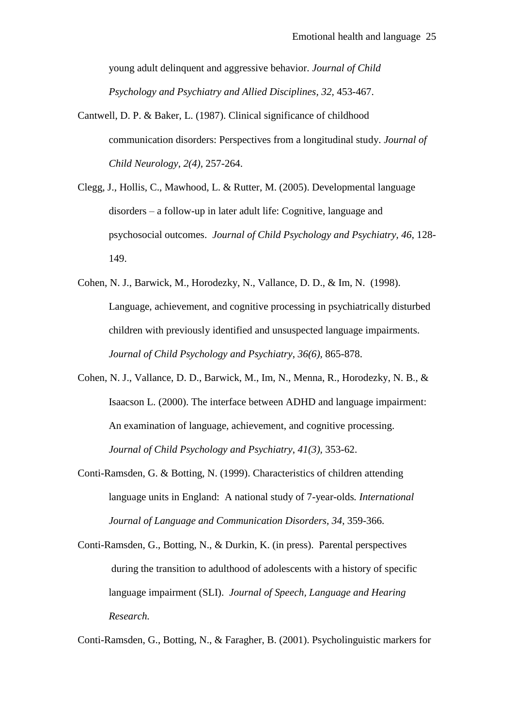young adult delinquent and aggressive behavior. *Journal of Child Psychology and Psychiatry and Allied Disciplines, 32,* 453-467.

- Cantwell, D. P. & Baker, L. (1987). Clinical significance of childhood communication disorders: Perspectives from a longitudinal study. *Journal of Child Neurology, 2(4),* 257-264.
- Clegg, J., Hollis, C., Mawhood, L. & Rutter, M. (2005). Developmental language disorders – a follow-up in later adult life: Cognitive, language and psychosocial outcomes. *Journal of Child Psychology and Psychiatry, 46*, 128- 149.
- Cohen, N. J., Barwick, M., Horodezky, N., Vallance, D. D., & Im, N. (1998). Language, achievement, and cognitive processing in psychiatrically disturbed children with previously identified and unsuspected language impairments*. Journal of Child Psychology and Psychiatry*, *36(6),* 865-878.
- Cohen, N. J., Vallance, D. D., Barwick, M., Im, N., Menna, R., Horodezky, N. B., & Isaacson L. (2000). The interface between ADHD and language impairment: An examination of language, achievement, and cognitive processing. *Journal of Child Psychology and Psychiatry*, *41(3),* 353-62.
- Conti-Ramsden, G. & Botting, N. (1999). Characteristics of children attending language units in England: A national study of 7-year-olds*. International Journal of Language and Communication Disorders, 34*, 359-366.
- Conti-Ramsden, G., Botting, N., & Durkin, K. (in press). Parental perspectives during the transition to adulthood of adolescents with a history of specific language impairment (SLI). *Journal of Speech, Language and Hearing Research.*

Conti-Ramsden, G., Botting, N., & Faragher, B. (2001). Psycholinguistic markers for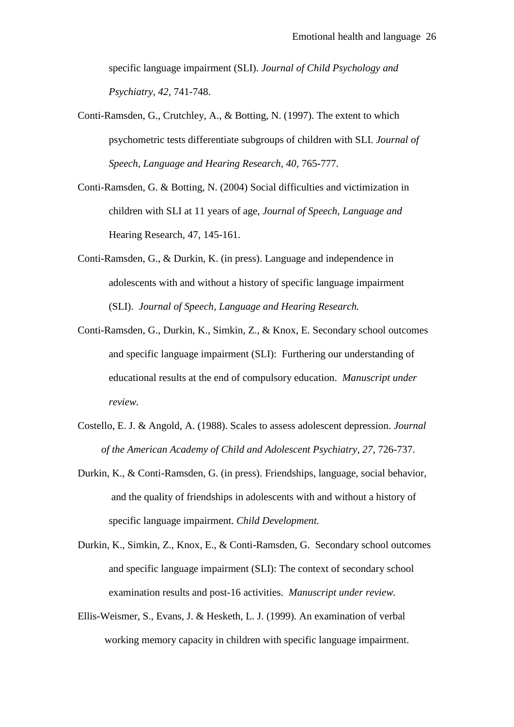specific language impairment (SLI). *Journal of Child Psychology and Psychiatry, 42,* 741-748.

- Conti-Ramsden, G., Crutchley, A., & Botting, N. (1997). The extent to which psychometric tests differentiate subgroups of children with SLI. *Journal of Speech, Language and Hearing Research, 40,* 765-777*.*
- Conti-Ramsden, G. & Botting, N. (2004) Social difficulties and victimization in children with SLI at 11 years of age, *Journal of Speech, Language and*  Hearing Research, 47, 145-161.
- Conti-Ramsden, G., & Durkin, K. (in press). Language and independence in adolescents with and without a history of specific language impairment (SLI). *Journal of Speech, Language and Hearing Research.*
- Conti-Ramsden, G., Durkin, K., Simkin, Z., & Knox, E. Secondary school outcomes and specific language impairment (SLI): Furthering our understanding of educational results at the end of compulsory education. *Manuscript under review.*
- Costello, E. J. & Angold, A. (1988). Scales to assess adolescent depression. *Journal of the American Academy of Child and Adolescent Psychiatry*, *27*, 726-737.
- Durkin, K., & Conti-Ramsden, G. (in press). Friendships, language, social behavior, and the quality of friendships in adolescents with and without a history of specific language impairment. *Child Development.*
- Durkin, K., Simkin, Z., Knox, E., & Conti-Ramsden, G. Secondary school outcomes and specific language impairment (SLI): The context of secondary school examination results and post-16 activities. *Manuscript under review.*
- Ellis-Weismer, S., Evans, J. & Hesketh, L. J. (1999). An examination of verbal working memory capacity in children with specific language impairment.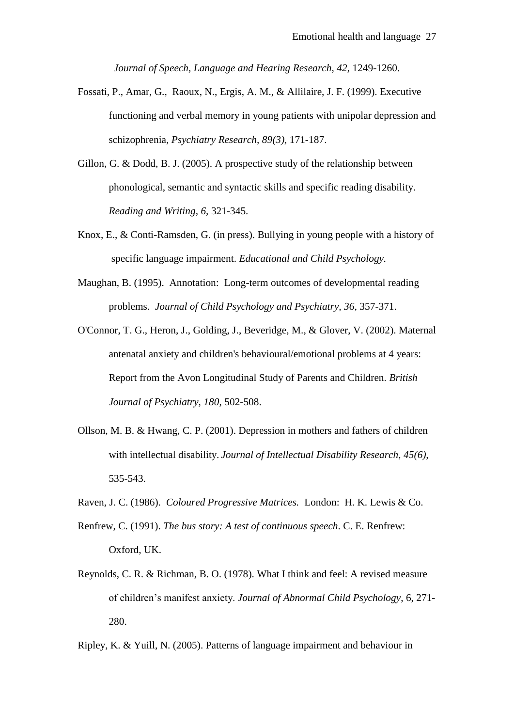*Journal of Speech, Language and Hearing Research, 42,* 1249-1260.

- Fossati, P., Amar, G., Raoux, N., Ergis, A. M., & Allilaire, J. F. (1999). Executive functioning and verbal memory in young patients with unipolar depression and schizophrenia, *Psychiatry Research, 89(3),* 171-187.
- Gillon, G. & Dodd, B. J. (2005). A prospective study of the relationship between phonological, semantic and syntactic skills and specific reading disability. *Reading and Writing, 6,* 321-345.
- Knox, E., & Conti-Ramsden, G. (in press). Bullying in young people with a history of specific language impairment. *Educational and Child Psychology.*
- Maughan, B. (1995). Annotation: Long-term outcomes of developmental reading problems. *Journal of Child Psychology and Psychiatry, 36*, 357-371.
- O'Connor, T. G., Heron, J., Golding, J., Beveridge, M., & Glover, V. (2002). Maternal antenatal anxiety and children's behavioural/emotional problems at 4 years: Report from the Avon Longitudinal Study of Parents and Children. *British Journal of Psychiatry*, *180*, 502-508.
- Ollson, M. B. & Hwang, C. P. (2001). Depression in mothers and fathers of children with intellectual disability. *Journal of Intellectual Disability Research, 45(6),* 535-543.
- Raven, J. C. (1986). *Coloured Progressive Matrices.* London: H. K. Lewis & Co.
- Renfrew, C. (1991). *The bus story: A test of continuous speech*. C. E. Renfrew: Oxford, UK.
- Reynolds, C. R. & Richman, B. O. (1978). What I think and feel: A revised measure of children's manifest anxiety. *Journal of Abnormal Child Psychology*, 6, 271- 280.

Ripley, K. & Yuill, N. (2005). Patterns of language impairment and behaviour in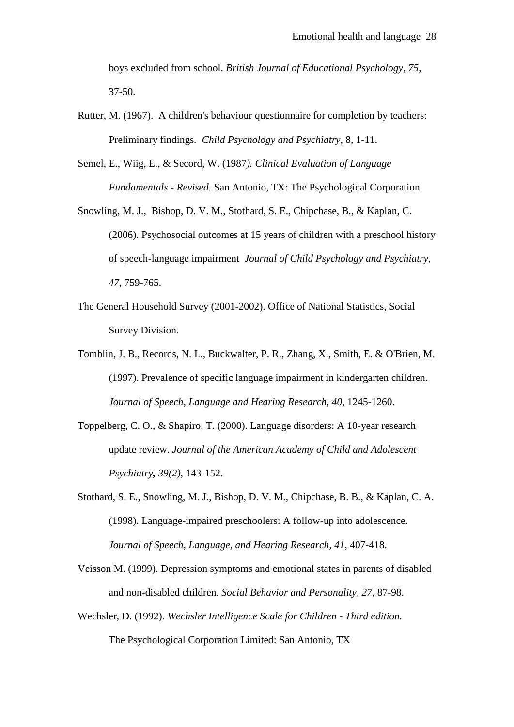boys excluded from school. *British Journal of Educational Psychology*, *75*, 37-50.

- Rutter, M. (1967). A children's behaviour questionnaire for completion by teachers: Preliminary findings*. Child Psychology and Psychiatry*, 8*,* 1-11.
- Semel, E., Wiig, E., & Secord, W. (1987*). Clinical Evaluation of Language Fundamentals - Revised.* San Antonio, TX: The Psychological Corporation.
- Snowling, M. J., Bishop, D. V. M., Stothard, S. E., Chipchase, B., & Kaplan, C. (2006). Psychosocial outcomes at 15 years of children with a preschool history of speech-language impairment *Journal of Child Psychology and Psychiatry, 47*, 759-765.
- The General Household Survey (2001-2002). Office of National Statistics, Social Survey Division.
- Tomblin, J. B., Records, N. L., Buckwalter, P. R., Zhang, X., Smith, E. & O'Brien, M. (1997). Prevalence of specific language impairment in kindergarten children. *Journal of Speech, Language and Hearing Research, 40*, 1245-1260.
- Toppelberg, C. O., & Shapiro, T. (2000). Language disorders: A 10-year research update review. *Journal of the American Academy of Child and Adolescent Psychiatry, 39(2),* 143-152.
- Stothard, S. E., Snowling, M. J., Bishop, D. V. M., Chipchase, B. B., & Kaplan, C. A. (1998). Language-impaired preschoolers: A follow-up into adolescence. *Journal of Speech, Language, and Hearing Research, 41*, 407-418.
- Veisson M. (1999). Depression symptoms and emotional states in parents of disabled and non-disabled children. *Social Behavior and Personality, 27*, 87-98.
- Wechsler, D. (1992). *Wechsler Intelligence Scale for Children - Third edition.* The Psychological Corporation Limited: San Antonio, TX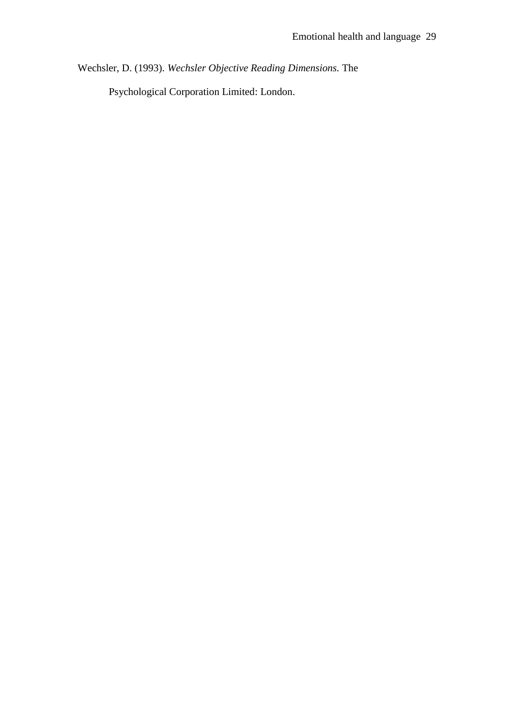Wechsler, D. (1993). *Wechsler Objective Reading Dimensions.* The

Psychological Corporation Limited: London.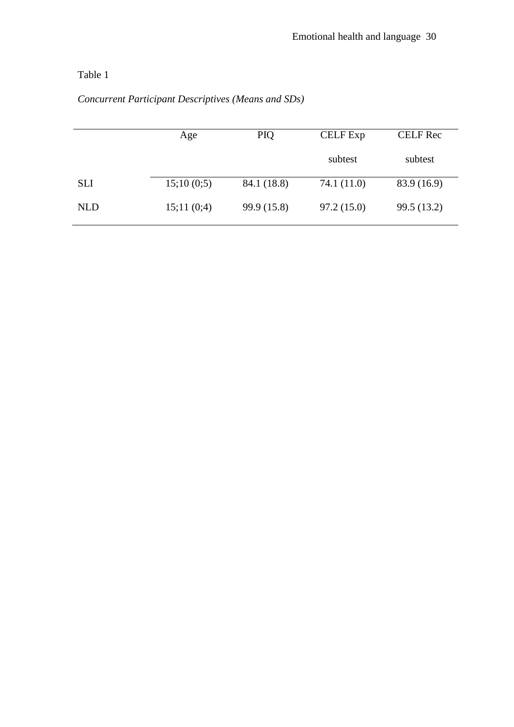## Table 1

|            | Age        | PIQ         | <b>CELF</b> Exp | <b>CELF Rec</b> |
|------------|------------|-------------|-----------------|-----------------|
|            |            |             | subtest         | subtest         |
| <b>SLI</b> | 15;10(0;5) | 84.1 (18.8) | 74.1 (11.0)     | 83.9 (16.9)     |
| <b>NLD</b> | 15;11(0;4) | 99.9 (15.8) | 97.2(15.0)      | 99.5 (13.2)     |

### *Concurrent Participant Descriptives (Means and SDs)*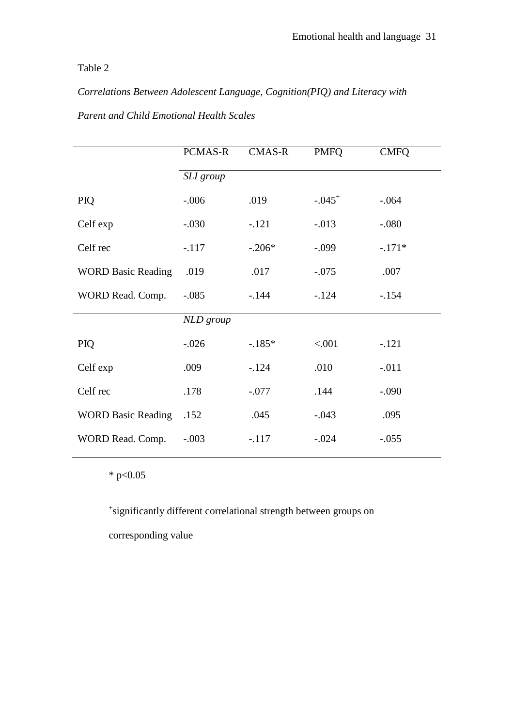### Table 2

*Correlations Between Adolescent Language, Cognition(PIQ) and Literacy with* 

|                           | PCMAS-R   | <b>CMAS-R</b> | <b>PMFQ</b> | <b>CMFQ</b> |
|---------------------------|-----------|---------------|-------------|-------------|
|                           | SLI group |               |             |             |
| PIQ                       | $-.006$   | .019          | $-.045+$    | $-.064$     |
| Celf exp                  | $-.030$   | $-.121$       | $-0.013$    | $-.080$     |
| Celf rec                  | $-.117$   | $-.206*$      | $-.099$     | $-.171*$    |
| <b>WORD Basic Reading</b> | .019      | .017          | $-.075$     | .007        |
| WORD Read. Comp.          | $-.085$   | $-144$        | $-124$      | $-.154$     |
|                           | NLD group |               |             |             |
| PIQ                       | $-.026$   | $-185*$       | < 0.001     | $-.121$     |
| Celf exp                  | .009      | $-124$        | .010        | $-.011$     |
| Celf rec                  | .178      | $-.077$       | .144        | $-.090$     |
| <b>WORD Basic Reading</b> | .152      | .045          | $-.043$     | .095        |
| WORD Read. Comp.          | $-.003$   | $-.117$       | $-.024$     | $-.055$     |

*Parent and Child Emotional Health Scales*

\* p< $0.05$ 

+ significantly different correlational strength between groups on

corresponding value